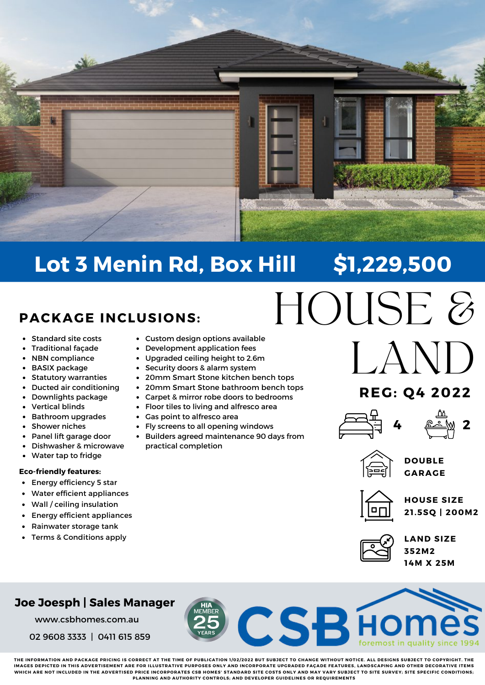

# **Lot 3 Menin Rd, Box Hill \$1,229,500**

## **PACKAGE INCLUSIONS:**

- Standard site costs  $\bullet$
- Traditional façade
- NBN compliance  $\bullet$
- BASIX package
- Statutory warranties  $\bullet$
- Ducted air conditioning
- Downlights package
- Vertical blinds
- Bathroom upgrades
- Shower niches
- Panel lift garage door
- Dishwasher & microwave
- Water tap to fridge $\bullet$

#### **Eco-friendly features:**

- $\bullet$ Energy efficiency 5 star
- Water efficient appliances
- $\bullet$ Wall / ceiling insulation
- Energy efficient appliances  $\bullet$
- Rainwater storage tank
- Terms & Conditions apply
- Custom design options available
- Development application fees
- Upgraded ceiling height to 2.6m
- Security doors & alarm system
- 20mm Smart Stone kitchen bench tops
- 20mm Smart Stone bathroom bench tops
- Carpet & mirror robe doors to bedrooms
- Floor tiles to living and alfresco area
- Gas point to alfresco area
- Fly screens to all opening windows
- Builders agreed maintenance 90 days from practical completion
- HOUSE & LAND

## **REG: Q4 2022**





- 
- **DOUBLE GARAGE**



**HOUSE SIZE 21 .5SQ | 200M2**



**CSBHC** 

**LAND SIZE 352M2 14M X 25M**

### **Joe Joesph | Sales Manager**

www.csbhomes.com.au

02 9608 3333 | 0411 615 859

THE INFORMATION AND PACKAGE PRICING IS CORRECT AT THE TIME OF PUBLICATION 1/02/2022 BUT SUBJECT TO CHANGE WITHOUT NOTICE. ALL DESIGNS SUBJECT TO COPYRIGHT. THE IMACES DEDICTED IN THIS ADVEDTISEMENT ADE EOD ILLUSTDATIVE DIIDDOSES ONLY AND INCODDODATE UDCDADED EACADE EEATUDES LANDSCADING AND OTHED DECODATIVE ITEMS WHICH ARE NOT INCLUDED IN THE ADVERTISED PRICE INCORPORATES CSB HOMES' STANDARD SITE COSTS ONLY AND MAY VARY SUBJECT TO SITE SURVEY; SITE SPECIFIC CONDITIONS; **PLANNING AND AUTHORITY CONTROLS; AND DEVELOPER GUIDELINES OR REQUIREMENTS**